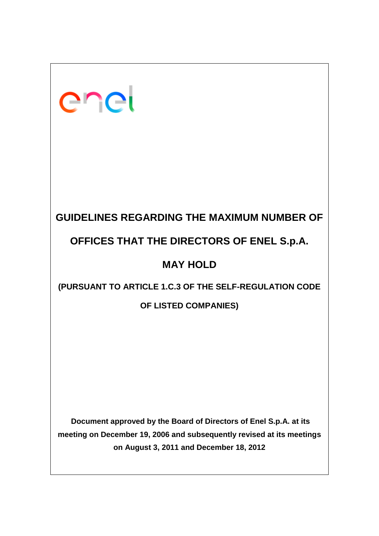| enel                                                                                                                                                                                  |
|---------------------------------------------------------------------------------------------------------------------------------------------------------------------------------------|
|                                                                                                                                                                                       |
| <b>GUIDELINES REGARDING THE MAXIMUM NUMBER OF</b><br>OFFICES THAT THE DIRECTORS OF ENEL S.p.A.                                                                                        |
| <b>MAY HOLD</b>                                                                                                                                                                       |
| (PURSUANT TO ARTICLE 1.C.3 OF THE SELF-REGULATION CODE<br>OF LISTED COMPANIES)                                                                                                        |
|                                                                                                                                                                                       |
| Document approved by the Board of Directors of Enel S.p.A. at its<br>meeting on December 19, 2006 and subsequently revised at its meetings<br>on August 3, 2011 and December 18, 2012 |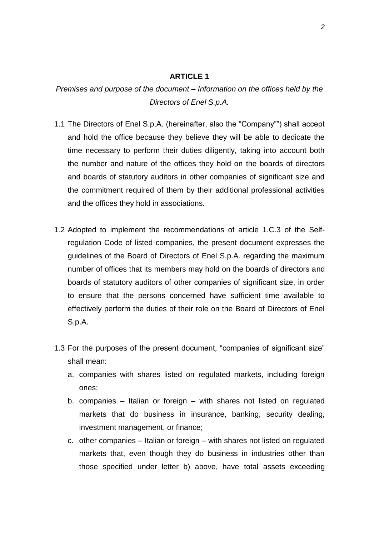#### **ARTICLE 1**

*Premises and purpose of the document – Information on the offices held by the Directors of Enel S.p.A.*

- 1.1 The Directors of Enel S.p.A. (hereinafter, also the "Company"") shall accept and hold the office because they believe they will be able to dedicate the time necessary to perform their duties diligently, taking into account both the number and nature of the offices they hold on the boards of directors and boards of statutory auditors in other companies of significant size and the commitment required of them by their additional professional activities and the offices they hold in associations.
- 1.2 Adopted to implement the recommendations of article 1.C.3 of the Selfregulation Code of listed companies, the present document expresses the guidelines of the Board of Directors of Enel S.p.A. regarding the maximum number of offices that its members may hold on the boards of directors and boards of statutory auditors of other companies of significant size, in order to ensure that the persons concerned have sufficient time available to effectively perform the duties of their role on the Board of Directors of Enel S.p.A.
- 1.3 For the purposes of the present document, "companies of significant size" shall mean:
	- a. companies with shares listed on regulated markets, including foreign ones;
	- b. companies Italian or foreign with shares not listed on regulated markets that do business in insurance, banking, security dealing, investment management, or finance;
	- c. other companies Italian or foreign with shares not listed on regulated markets that, even though they do business in industries other than those specified under letter b) above, have total assets exceeding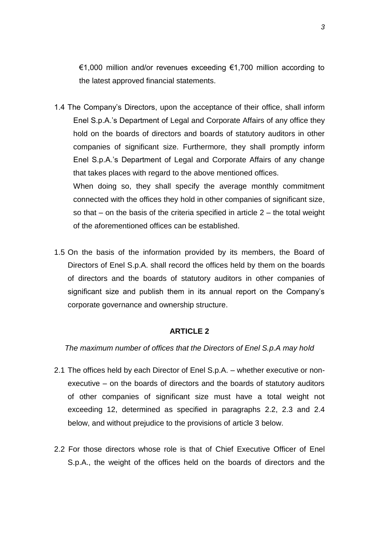€1,000 million and/or revenues exceeding €1,700 million according to the latest approved financial statements.

1.4 The Company's Directors, upon the acceptance of their office, shall inform Enel S.p.A.'s Department of Legal and Corporate Affairs of any office they hold on the boards of directors and boards of statutory auditors in other companies of significant size. Furthermore, they shall promptly inform Enel S.p.A.'s Department of Legal and Corporate Affairs of any change that takes places with regard to the above mentioned offices. When doing so, they shall specify the average monthly commitment

connected with the offices they hold in other companies of significant size, so that – on the basis of the criteria specified in article 2 – the total weight of the aforementioned offices can be established.

1.5 On the basis of the information provided by its members, the Board of Directors of Enel S.p.A. shall record the offices held by them on the boards of directors and the boards of statutory auditors in other companies of significant size and publish them in its annual report on the Company's corporate governance and ownership structure.

### **ARTICLE 2**

*The maximum number of offices that the Directors of Enel S.p.A may hold* 

- 2.1 The offices held by each Director of Enel S.p.A. whether executive or nonexecutive – on the boards of directors and the boards of statutory auditors of other companies of significant size must have a total weight not exceeding 12, determined as specified in paragraphs 2.2, 2.3 and 2.4 below, and without prejudice to the provisions of article 3 below.
- 2.2 For those directors whose role is that of Chief Executive Officer of Enel S.p.A., the weight of the offices held on the boards of directors and the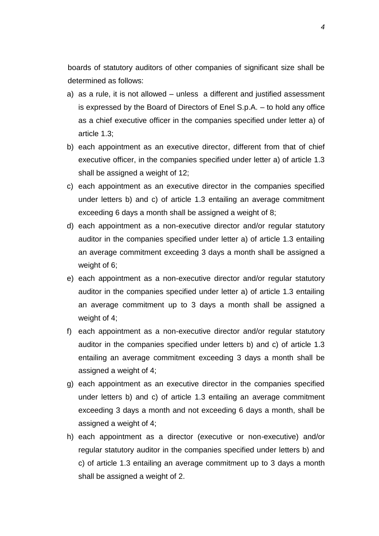boards of statutory auditors of other companies of significant size shall be determined as follows:

- a) as a rule, it is not allowed unless a different and justified assessment is expressed by the Board of Directors of Enel S.p.A. – to hold any office as a chief executive officer in the companies specified under letter a) of article 1.3;
- b) each appointment as an executive director, different from that of chief executive officer, in the companies specified under letter a) of article 1.3 shall be assigned a weight of 12;
- c) each appointment as an executive director in the companies specified under letters b) and c) of article 1.3 entailing an average commitment exceeding 6 days a month shall be assigned a weight of 8;
- d) each appointment as a non-executive director and/or regular statutory auditor in the companies specified under letter a) of article 1.3 entailing an average commitment exceeding 3 days a month shall be assigned a weight of 6;
- e) each appointment as a non-executive director and/or regular statutory auditor in the companies specified under letter a) of article 1.3 entailing an average commitment up to 3 days a month shall be assigned a weight of 4;
- f) each appointment as a non-executive director and/or regular statutory auditor in the companies specified under letters b) and c) of article 1.3 entailing an average commitment exceeding 3 days a month shall be assigned a weight of 4;
- g) each appointment as an executive director in the companies specified under letters b) and c) of article 1.3 entailing an average commitment exceeding 3 days a month and not exceeding 6 days a month, shall be assigned a weight of 4;
- h) each appointment as a director (executive or non-executive) and/or regular statutory auditor in the companies specified under letters b) and c) of article 1.3 entailing an average commitment up to 3 days a month shall be assigned a weight of 2.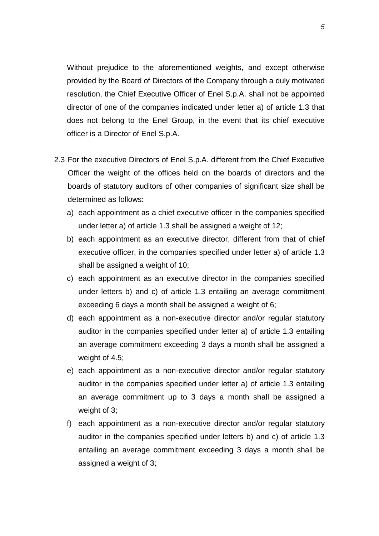Without prejudice to the aforementioned weights, and except otherwise provided by the Board of Directors of the Company through a duly motivated resolution, the Chief Executive Officer of Enel S.p.A. shall not be appointed director of one of the companies indicated under letter a) of article 1.3 that does not belong to the Enel Group, in the event that its chief executive officer is a Director of Enel S.p.A.

- 2.3 For the executive Directors of Enel S.p.A. different from the Chief Executive Officer the weight of the offices held on the boards of directors and the boards of statutory auditors of other companies of significant size shall be determined as follows:
	- a) each appointment as a chief executive officer in the companies specified under letter a) of article 1.3 shall be assigned a weight of 12;
	- b) each appointment as an executive director, different from that of chief executive officer, in the companies specified under letter a) of article 1.3 shall be assigned a weight of 10;
	- c) each appointment as an executive director in the companies specified under letters b) and c) of article 1.3 entailing an average commitment exceeding 6 days a month shall be assigned a weight of 6;
	- d) each appointment as a non-executive director and/or regular statutory auditor in the companies specified under letter a) of article 1.3 entailing an average commitment exceeding 3 days a month shall be assigned a weight of 4.5;
	- e) each appointment as a non-executive director and/or regular statutory auditor in the companies specified under letter a) of article 1.3 entailing an average commitment up to 3 days a month shall be assigned a weight of 3;
	- f) each appointment as a non-executive director and/or regular statutory auditor in the companies specified under letters b) and c) of article 1.3 entailing an average commitment exceeding 3 days a month shall be assigned a weight of 3;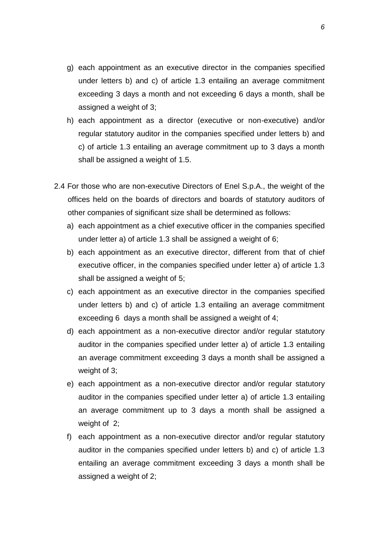- g) each appointment as an executive director in the companies specified under letters b) and c) of article 1.3 entailing an average commitment exceeding 3 days a month and not exceeding 6 days a month, shall be assigned a weight of 3;
- h) each appointment as a director (executive or non-executive) and/or regular statutory auditor in the companies specified under letters b) and c) of article 1.3 entailing an average commitment up to 3 days a month shall be assigned a weight of 1.5.
- 2.4 For those who are non-executive Directors of Enel S.p.A., the weight of the offices held on the boards of directors and boards of statutory auditors of other companies of significant size shall be determined as follows:
	- a) each appointment as a chief executive officer in the companies specified under letter a) of article 1.3 shall be assigned a weight of 6;
	- b) each appointment as an executive director, different from that of chief executive officer, in the companies specified under letter a) of article 1.3 shall be assigned a weight of 5;
	- c) each appointment as an executive director in the companies specified under letters b) and c) of article 1.3 entailing an average commitment exceeding 6 days a month shall be assigned a weight of 4;
	- d) each appointment as a non-executive director and/or regular statutory auditor in the companies specified under letter a) of article 1.3 entailing an average commitment exceeding 3 days a month shall be assigned a weight of 3;
	- e) each appointment as a non-executive director and/or regular statutory auditor in the companies specified under letter a) of article 1.3 entailing an average commitment up to 3 days a month shall be assigned a weight of 2;
	- f) each appointment as a non-executive director and/or regular statutory auditor in the companies specified under letters b) and c) of article 1.3 entailing an average commitment exceeding 3 days a month shall be assigned a weight of 2;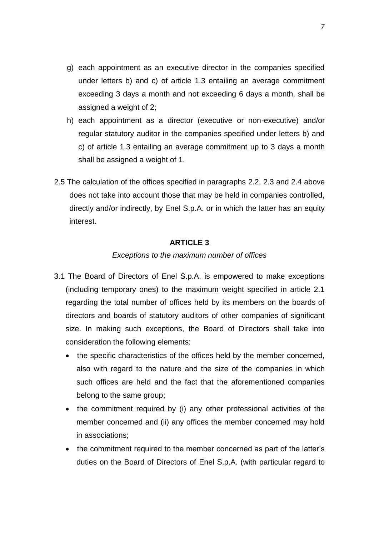- g) each appointment as an executive director in the companies specified under letters b) and c) of article 1.3 entailing an average commitment exceeding 3 days a month and not exceeding 6 days a month, shall be assigned a weight of 2;
- h) each appointment as a director (executive or non-executive) and/or regular statutory auditor in the companies specified under letters b) and c) of article 1.3 entailing an average commitment up to 3 days a month shall be assigned a weight of 1.
- 2.5 The calculation of the offices specified in paragraphs 2.2, 2.3 and 2.4 above does not take into account those that may be held in companies controlled, directly and/or indirectly, by Enel S.p.A. or in which the latter has an equity interest.

# **ARTICLE 3**

# *Exceptions to the maximum number of offices*

- 3.1 The Board of Directors of Enel S.p.A. is empowered to make exceptions (including temporary ones) to the maximum weight specified in article 2.1 regarding the total number of offices held by its members on the boards of directors and boards of statutory auditors of other companies of significant size. In making such exceptions, the Board of Directors shall take into consideration the following elements:
	- the specific characteristics of the offices held by the member concerned, also with regard to the nature and the size of the companies in which such offices are held and the fact that the aforementioned companies belong to the same group;
	- the commitment required by (i) any other professional activities of the member concerned and (ii) any offices the member concerned may hold in associations;
	- the commitment required to the member concerned as part of the latter's duties on the Board of Directors of Enel S.p.A. (with particular regard to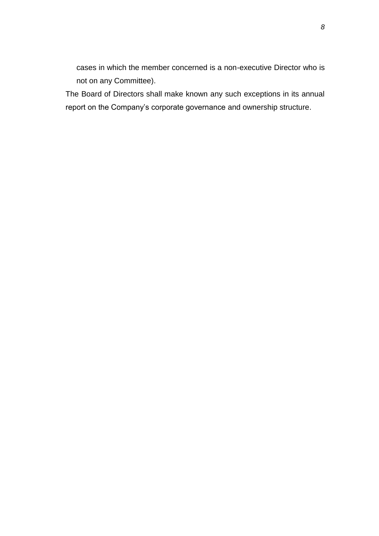cases in which the member concerned is a non-executive Director who is not on any Committee).

The Board of Directors shall make known any such exceptions in its annual report on the Company's corporate governance and ownership structure.